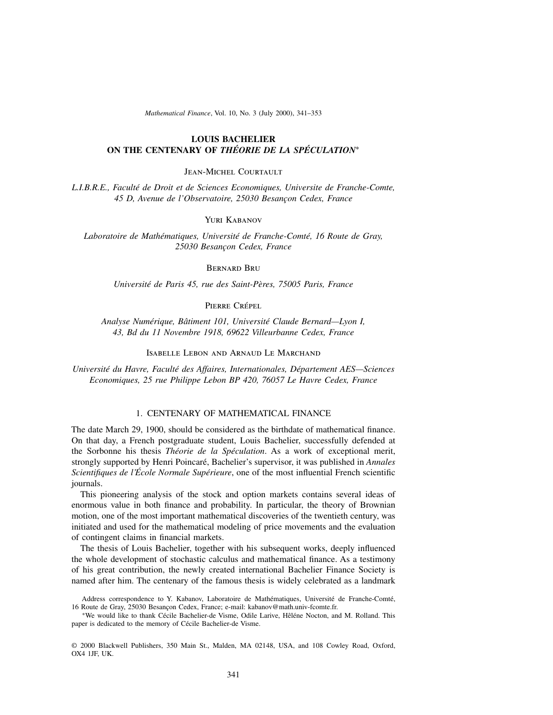## **LOUIS BACHELIER ON THE CENTENARY OF THÉORIE DE LA SPÉCULATION\***

### Jean-Michel Courtault

L.I.B.R.E., Faculté de Droit et de Sciences Economiques, Universite de Franche-Comte, 45 D, Avenue de l'Observatoire, 25030 Besançon Cedex, France

## Yuri Kabanov

Laboratoire de Mathématiques, Université de Franche-Comté, 16 Route de Gray, 25030 Besançon Cedex, France

#### Bernard Bru

Université de Paris 45, rue des Saint-Pères, 75005 Paris, France

PIERRE CRÉPEL

Analyse Numérique, Bâtiment 101, Université Claude Bernard—Lyon I, 43, Bd du 11 Novembre 1918, 69622 Villeurbanne Cedex, France

Isabelle Lebon and Arnaud Le Marchand

Université du Havre, Faculté des Affaires, Internationales, Département AES—Sciences Economiques, 25 rue Philippe Lebon BP 420, 76057 Le Havre Cedex, France

### 1.CENTENARY OF MATHEMATICAL FINANCE

The date March 29, 1900, should be considered as the birthdate of mathematical finance. On that day, a French postgraduate student, Louis Bachelier, successfully defended at the Sorbonne his thesis Théorie de la Spéculation. As a work of exceptional merit, strongly supported by Henri Poincaré, Bachelier's supervisor, it was published in *Annales* Scientifiques de l'École Normale Supérieure, one of the most influential French scientific journals.

This pioneering analysis of the stock and option markets contains several ideas of enormous value in both finance and probability.In particular, the theory of Brownian motion, one of the most important mathematical discoveries of the twentieth century, was initiated and used for the mathematical modeling of price movements and the evaluation of contingent claims in financial markets.

The thesis of Louis Bachelier, together with his subsequent works, deeply influenced the whole development of stochastic calculus and mathematical finance. As a testimony of his great contribution, the newly created international Bachelier Finance Society is named after him.The centenary of the famous thesis is widely celebrated as a landmark

Address correspondence to Y. Kabanov, Laboratoire de Mathématiques, Université de Franche-Comté, 16 Route de Gray, 25030 Besançon Cedex, France; e-mail: kabanov@math.univ-fcomte.fr.

<sup>\*</sup>We would like to thank Cécile Bachelier-de Visme, Odile Larive, Hêléne Nocton, and M. Rolland. This paper is dedicated to the memory of Cécile Bachelier-de Visme.

<sup>© 2000</sup> Blackwell Publishers, 350 Main St., Malden, MA 02148, USA, and 108 Cowley Road, Oxford, OX4 1JF, UK.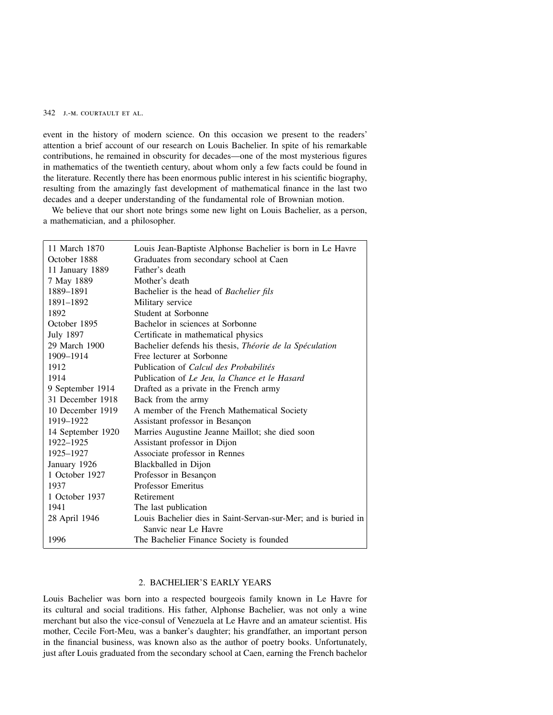event in the history of modern science. On this occasion we present to the readers' attention a brief account of our research on Louis Bachelier.In spite of his remarkable contributions, he remained in obscurity for decades—one of the most mysterious figures in mathematics of the twentieth century, about whom only a few facts could be found in the literature.Recently there has been enormous public interest in his scientific biography, resulting from the amazingly fast development of mathematical finance in the last two decades and a deeper understanding of the fundamental role of Brownian motion.

We believe that our short note brings some new light on Louis Bachelier, as a person, a mathematician, and a philosopher.

| Louis Jean-Baptiste Alphonse Bachelier is born in Le Havre     |
|----------------------------------------------------------------|
| Graduates from secondary school at Caen                        |
| Father's death                                                 |
| Mother's death                                                 |
| Bachelier is the head of Bachelier fils                        |
| Military service                                               |
| Student at Sorbonne                                            |
| Bachelor in sciences at Sorbonne                               |
| Certificate in mathematical physics                            |
| Bachelier defends his thesis, Théorie de la Spéculation        |
| Free lecturer at Sorbonne                                      |
| Publication of <i>Calcul des Probabilités</i>                  |
| Publication of Le Jeu, la Chance et le Hasard                  |
| Drafted as a private in the French army                        |
| Back from the army                                             |
| A member of the French Mathematical Society                    |
| Assistant professor in Besançon                                |
| Marries Augustine Jeanne Maillot; she died soon                |
| Assistant professor in Dijon                                   |
| Associate professor in Rennes                                  |
| Blackballed in Dijon                                           |
| Professor in Besançon                                          |
| <b>Professor Emeritus</b>                                      |
| Retirement                                                     |
| The last publication                                           |
| Louis Bachelier dies in Saint-Servan-sur-Mer; and is buried in |
| Sanvic near Le Havre                                           |
| The Bachelier Finance Society is founded                       |
|                                                                |

## 2.BACHELIER'S EARLY YEARS

Louis Bachelier was born into a respected bourgeois family known in Le Havre for its cultural and social traditions. His father, Alphonse Bachelier, was not only a wine merchant but also the vice-consul of Venezuela at Le Havre and an amateur scientist.His mother, Cecile Fort-Meu, was a banker's daughter; his grandfather, an important person in the financial business, was known also as the author of poetry books.Unfortunately, just after Louis graduated from the secondary school at Caen, earning the French bachelor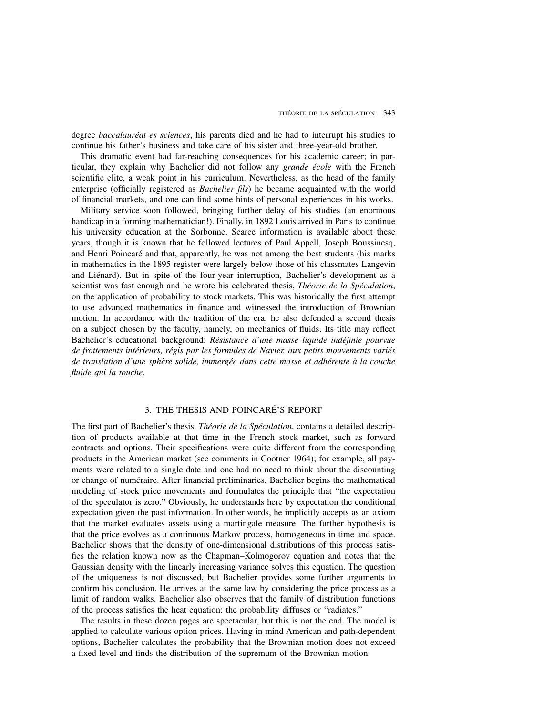degree *baccalauréat es sciences*, his parents died and he had to interrupt his studies to continue his father's business and take care of his sister and three-year-old brother.

This dramatic event had far-reaching consequences for his academic career; in particular, they explain why Bachelier did not follow any *grande école* with the French scientific elite, a weak point in his curriculum. Nevertheless, as the head of the family enterprise (officially registered as *Bachelier fils*) he became acquainted with the world of financial markets, and one can find some hints of personal experiences in his works.

Military service soon followed, bringing further delay of his studies (an enormous handicap in a forming mathematician!). Finally, in 1892 Louis arrived in Paris to continue his university education at the Sorbonne. Scarce information is available about these years, though it is known that he followed lectures of Paul Appell, Joseph Boussinesq, and Henri Poincaré and that, apparently, he was not among the best students (his marks in mathematics in the 1895 register were largely below those of his classmates Langevin and Liénard). But in spite of the four-year interruption, Bachelier's development as a scientist was fast enough and he wrote his celebrated thesis, *Théorie de la Spéculation*, on the application of probability to stock markets.This was historically the first attempt to use advanced mathematics in finance and witnessed the introduction of Brownian motion.In accordance with the tradition of the era, he also defended a second thesis on a subject chosen by the faculty, namely, on mechanics of fluids.Its title may reflect Bachelier's educational background: Résistance d'une masse liquide indéfinie pourvue de frottements intérieurs, régis par les formules de Navier, aux petits mouvements variés de translation d'une sphère solide, immergée dans cette masse et adhérente à la couche fluide qui la touche.

# 3. THE THESIS AND POINCARÉ'S REPORT

The first part of Bachelier's thesis, *Théorie de la Spéculation*, contains a detailed description of products available at that time in the French stock market, such as forward contracts and options.Their specifications were quite different from the corresponding products in the American market (see comments in Cootner 1964); for example, all payments were related to a single date and one had no need to think about the discounting or change of numéraire. After financial preliminaries, Bachelier begins the mathematical modeling of stock price movements and formulates the principle that "the expectation of the speculator is zero." Obviously, he understands here by expectation the conditional expectation given the past information. In other words, he implicitly accepts as an axiom that the market evaluates assets using a martingale measure.The further hypothesis is that the price evolves as a continuous Markov process, homogeneous in time and space. Bachelier shows that the density of one-dimensional distributions of this process satisfies the relation known now as the Chapman–Kolmogorov equation and notes that the Gaussian density with the linearly increasing variance solves this equation.The question of the uniqueness is not discussed, but Bachelier provides some further arguments to confirm his conclusion. He arrives at the same law by considering the price process as a limit of random walks. Bachelier also observes that the family of distribution functions of the process satisfies the heat equation: the probability diffuses or "radiates."

The results in these dozen pages are spectacular, but this is not the end.The model is applied to calculate various option prices.Having in mind American and path-dependent options, Bachelier calculates the probability that the Brownian motion does not exceed a fixed level and finds the distribution of the supremum of the Brownian motion.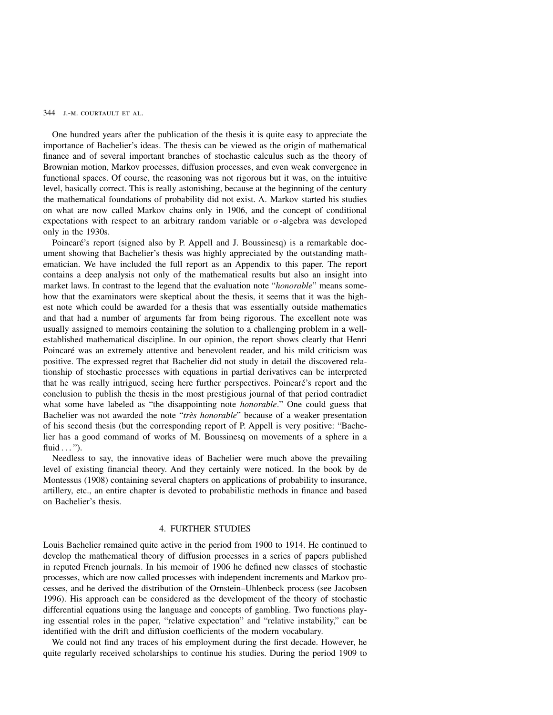One hundred years after the publication of the thesis it is quite easy to appreciate the importance of Bachelier's ideas.The thesis can be viewed as the origin of mathematical finance and of several important branches of stochastic calculus such as the theory of Brownian motion, Markov processes, diffusion processes, and even weak convergence in functional spaces.Of course, the reasoning was not rigorous but it was, on the intuitive level, basically correct.This is really astonishing, because at the beginning of the century the mathematical foundations of probability did not exist.A.Markov started his studies on what are now called Markov chains only in 1906, and the concept of conditional expectations with respect to an arbitrary random variable or  $\sigma$ -algebra was developed only in the 1930s.

Poincaré's report (signed also by P. Appell and J. Boussinesq) is a remarkable document showing that Bachelier's thesis was highly appreciated by the outstanding mathematician.We have included the full report as an Appendix to this paper.The report contains a deep analysis not only of the mathematical results but also an insight into market laws. In contrast to the legend that the evaluation note "*honorable*" means somehow that the examinators were skeptical about the thesis, it seems that it was the highest note which could be awarded for a thesis that was essentially outside mathematics and that had a number of arguments far from being rigorous.The excellent note was usually assigned to memoirs containing the solution to a challenging problem in a wellestablished mathematical discipline. In our opinion, the report shows clearly that Henri Poincaré was an extremely attentive and benevolent reader, and his mild criticism was positive.The expressed regret that Bachelier did not study in detail the discovered relationship of stochastic processes with equations in partial derivatives can be interpreted that he was really intrigued, seeing here further perspectives. Poincaré's report and the conclusion to publish the thesis in the most prestigious journal of that period contradict what some have labeled as "the disappointing note *honorable.*" One could guess that Bachelier was not awarded the note "très honorable" because of a weaker presentation of his second thesis (but the corresponding report of P.Appell is very positive: "Bachelier has a good command of works of M.Boussinesq on movements of a sphere in a fluid  $\dots$ ").

Needless to say, the innovative ideas of Bachelier were much above the prevailing level of existing financial theory.And they certainly were noticed.In the book by de Montessus (1908) containing several chapters on applications of probability to insurance, artillery, etc., an entire chapter is devoted to probabilistic methods in finance and based on Bachelier's thesis.

### 4.FURTHER STUDIES

Louis Bachelier remained quite active in the period from 1900 to 1914. He continued to develop the mathematical theory of diffusion processes in a series of papers published in reputed French journals.In his memoir of 1906 he defined new classes of stochastic processes, which are now called processes with independent increments and Markov processes, and he derived the distribution of the Ornstein–Uhlenbeck process (see Jacobsen 1996).His approach can be considered as the development of the theory of stochastic differential equations using the language and concepts of gambling.Two functions playing essential roles in the paper, "relative expectation" and "relative instability," can be identified with the drift and diffusion coefficients of the modern vocabulary.

We could not find any traces of his employment during the first decade. However, he quite regularly received scholarships to continue his studies.During the period 1909 to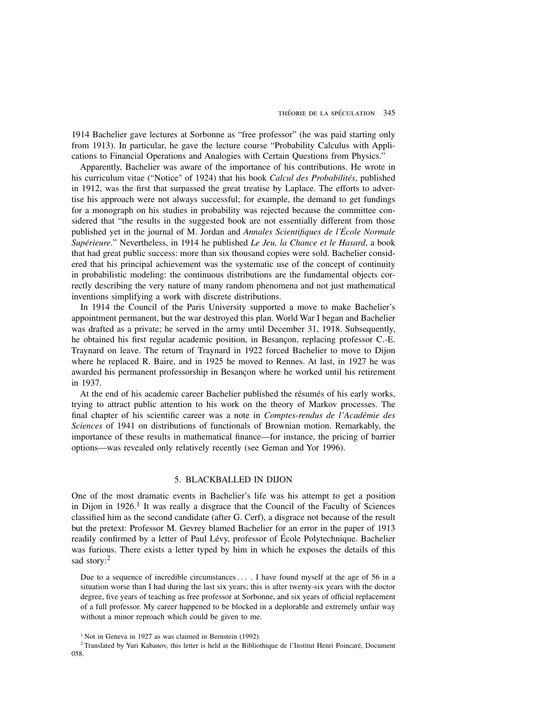1914 Bachelier gave lectures at Sorbonne as "free professor" (he was paid starting only from 1913). In particular, he gave the lecture course "Probability Calculus with Applications to Financial Operations and Analogies with Certain Questions from Physics."

Apparently, Bachelier was aware of the importance of his contributions. He wrote in his curriculum vitae ("Notice" of 1924) that his book *Calcul des Probabilités*, published in 1912, was the first that surpassed the great treatise by Laplace.The efforts to advertise his approach were not always successful; for example, the demand to get fundings for a monograph on his studies in probability was rejected because the committee considered that "the results in the suggested book are not essentially different from those published yet in the journal of M. Jordan and Annales Scientifiques de l'École Normale Supérieure." Nevertheless, in 1914 he published Le Jeu, la Chance et le Hasard, a book that had great public success: more than six thousand copies were sold.Bachelier considered that his principal achievement was the systematic use of the concept of continuity in probabilistic modeling: the continuous distributions are the fundamental objects correctly describing the very nature of many random phenomena and not just mathematical inventions simplifying a work with discrete distributions.

In 1914 the Council of the Paris University supported a move to make Bachelier's appointment permanent, but the war destroyed this plan.World War I began and Bachelier was drafted as a private; he served in the army until December 31, 1918. Subsequently, he obtained his first regular academic position, in Besançon, replacing professor C.-E. Traynard on leave.The return of Traynard in 1922 forced Bachelier to move to Dijon where he replaced R. Baire, and in 1925 he moved to Rennes. At last, in 1927 he was awarded his permanent professorship in Besançon where he worked until his retirement in 1937.

At the end of his academic career Bachelier published the résumés of his early works, trying to attract public attention to his work on the theory of Markov processes.The final chapter of his scientific career was a note in *Comptes-rendus de l'Académie des* Sciences of 1941 on distributions of functionals of Brownian motion. Remarkably, the importance of these results in mathematical finance—for instance, the pricing of barrier options—was revealed only relatively recently (see Geman and Yor 1996).

### 5.BLACKBALLED IN DIJON

One of the most dramatic events in Bachelier's life was his attempt to get a position in Dijon in  $1926<sup>1</sup>$  It was really a disgrace that the Council of the Faculty of Sciences classified him as the second candidate (after G.Cerf), a disgrace not because of the result but the pretext: Professor M.Gevrey blamed Bachelier for an error in the paper of 1913 readily confirmed by a letter of Paul Lévy, professor of École Polytechnique. Bachelier was furious. There exists a letter typed by him in which he exposes the details of this sad story:<sup>2</sup>

Due to a sequence of incredible circumstances... .I have found myself at the age of 56 in a situation worse than I had during the last six years; this is after twenty-six years with the doctor degree, five years of teaching as free professor at Sorbonne, and six years of official replacement of a full professor.My career happened to be blocked in a deplorable and extremely unfair way without a minor reproach which could be given to me.

<sup>&</sup>lt;sup>1</sup> Not in Geneva in 1927 as was claimed in Bernstein (1992).

<sup>&</sup>lt;sup>2</sup> Translated by Yuri Kabanov, this letter is held at the Bibliothique de l'Institut Henri Poincaré, Document 058.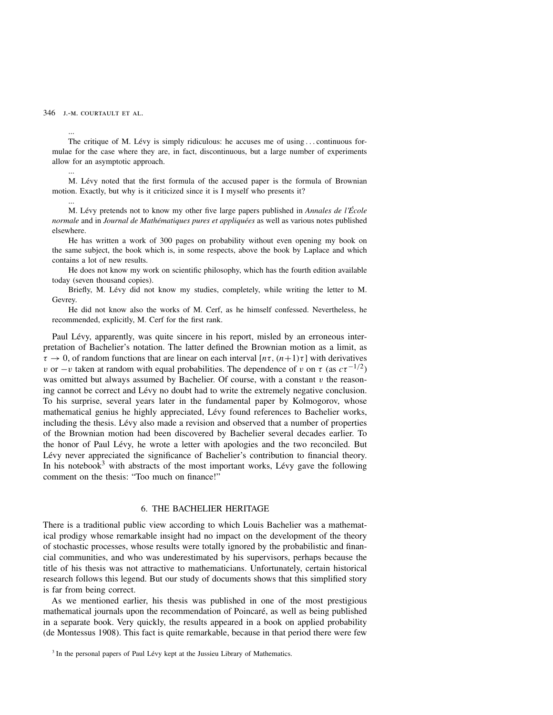...

...

...

The critique of M. Lévy is simply ridiculous: he accuses me of using ... continuous formulae for the case where they are, in fact, discontinuous, but a large number of experiments allow for an asymptotic approach.

M. Lévy noted that the first formula of the accused paper is the formula of Brownian motion.Exactly, but why is it criticized since it is I myself who presents it?

M. Lévy pretends not to know my other five large papers published in Annales de l'École normale and in Journal de Mathématiques pures et appliquées as well as various notes published elsewhere.

He has written a work of 300 pages on probability without even opening my book on the same subject, the book which is, in some respects, above the book by Laplace and which contains a lot of new results.

He does not know my work on scientific philosophy, which has the fourth edition available today (seven thousand copies).

Briefly, M. Lévy did not know my studies, completely, while writing the letter to M. Gevrey.

He did not know also the works of M. Cerf, as he himself confessed. Nevertheless, he recommended, explicitly, M.Cerf for the first rank.

Paul Lévy, apparently, was quite sincere in his report, misled by an erroneous interpretation of Bachelier's notation.The latter defined the Brownian motion as a limit, as  $\tau \to 0$ , of random functions that are linear on each interval  $[n\tau, (n+1)\tau]$  with derivatives v or  $-v$  taken at random with equal probabilities. The dependence of v on  $\tau$  (as  $c\tau^{-1/2}$ ) was omitted but always assumed by Bachelier. Of course, with a constant  $\nu$  the reasoning cannot be correct and Lévy no doubt had to write the extremely negative conclusion. To his surprise, several years later in the fundamental paper by Kolmogorov, whose mathematical genius he highly appreciated, Lévy found references to Bachelier works, including the thesis. Lévy also made a revision and observed that a number of properties of the Brownian motion had been discovered by Bachelier several decades earlier.To the honor of Paul Lévy, he wrote a letter with apologies and the two reconciled. But Lévy never appreciated the significance of Bachelier's contribution to financial theory. In his notebook<sup>3</sup> with abstracts of the most important works, Lévy gave the following comment on the thesis: "Too much on finance!"

### 6.THE BACHELIER HERITAGE

There is a traditional public view according to which Louis Bachelier was a mathematical prodigy whose remarkable insight had no impact on the development of the theory of stochastic processes, whose results were totally ignored by the probabilistic and financial communities, and who was underestimated by his supervisors, perhaps because the title of his thesis was not attractive to mathematicians.Unfortunately, certain historical research follows this legend. But our study of documents shows that this simplified story is far from being correct.

As we mentioned earlier, his thesis was published in one of the most prestigious mathematical journals upon the recommendation of Poincaré, as well as being published in a separate book.Very quickly, the results appeared in a book on applied probability (de Montessus 1908).This fact is quite remarkable, because in that period there were few

<sup>&</sup>lt;sup>3</sup> In the personal papers of Paul Lévy kept at the Jussieu Library of Mathematics.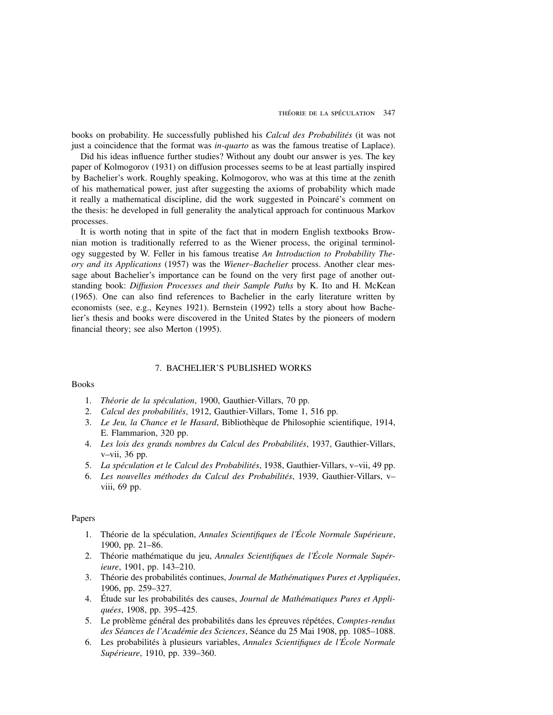books on probability. He successfully published his Calcul des Probabilités (it was not just a coincidence that the format was in-quarto as was the famous treatise of Laplace).

Did his ideas influence further studies? Without any doubt our answer is yes.The key paper of Kolmogorov (1931) on diffusion processes seems to be at least partially inspired by Bachelier's work.Roughly speaking, Kolmogorov, who was at this time at the zenith of his mathematical power, just after suggesting the axioms of probability which made it really a mathematical discipline, did the work suggested in Poincaré's comment on the thesis: he developed in full generality the analytical approach for continuous Markov processes.

It is worth noting that in spite of the fact that in modern English textbooks Brownian motion is traditionally referred to as the Wiener process, the original terminology suggested by W.Feller in his famous treatise An Introduction to Probability Theory and its Applications (1957) was the Wiener–Bachelier process.Another clear message about Bachelier's importance can be found on the very first page of another outstanding book: Diffusion Processes and their Sample Paths by K. Ito and H. McKean (1965).One can also find references to Bachelier in the early literature written by economists (see, e.g., Keynes 1921). Bernstein (1992) tells a story about how Bachelier's thesis and books were discovered in the United States by the pioneers of modern financial theory; see also Merton (1995).

### 7.BACHELIER'S PUBLISHED WORKS

### Books

- 1. Théorie de la spéculation, 1900, Gauthier-Villars, 70 pp.
- 2. Calcul des probabilités, 1912, Gauthier-Villars, Tome 1, 516 pp.
- 3. Le Jeu, la Chance et le Hasard, Bibliothèque de Philosophie scientifique, 1914, E.Flammarion, 320 pp.
- 4. Les lois des grands nombres du Calcul des Probabilités, 1937, Gauthier-Villars, v–vii, 36 pp.
- 5. La spéculation et le Calcul des Probabilités, 1938, Gauthier-Villars, v–vii, 49 pp.
- 6. Les nouvelles méthodes du Calcul des Probabilités, 1939, Gauthier-Villars, vviii, 69 pp.

### Papers

- 1. Théorie de la spéculation, Annales Scientifiques de l'École Normale Supérieure, 1900, pp.21–86.
- 2. Théorie mathématique du jeu, Annales Scientifiques de l'École Normale Supérieure, 1901, pp.143–210.
- 3. Théorie des probabilités continues, Journal de Mathématiques Pures et Appliquées, 1906, pp.259–327.
- 4. Étude sur les probabilités des causes, Journal de Mathématiques Pures et Appliquées, 1908, pp. 395–425.
- 5. Le problème général des probabilités dans les épreuves répétées, Comptes-rendus des Séances de l'Académie des Sciences, Séance du 25 Mai 1908, pp. 1085–1088.
- 6. Les probabilités à plusieurs variables, Annales Scientifiques de l'École Normale Supérieure, 1910, pp. 339–360.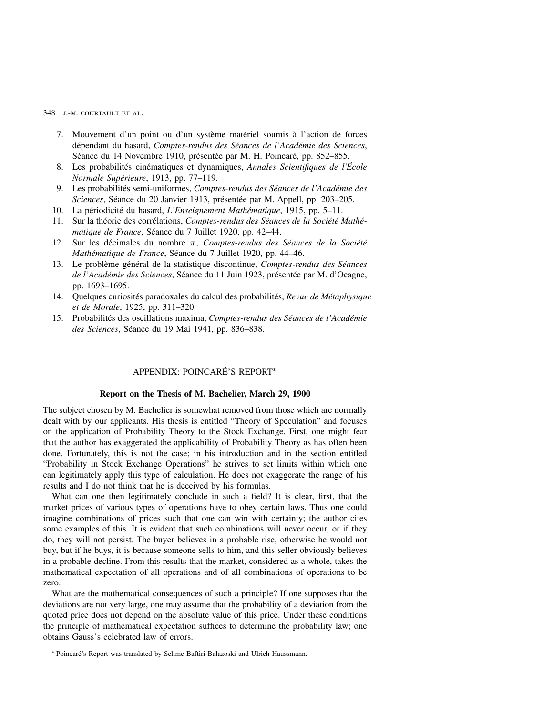- 7. Mouvement d'un point ou d'un système matériel soumis à l'action de forces dépendant du hasard, Comptes-rendus des Séances de l'Académie des Sciences, Séance du 14 Novembre 1910, présentée par M. H. Poincaré, pp. 852–855.
- 8. Les probabilités cinématiques et dynamiques, Annales Scientifiques de l'École Normale Supérieure, 1913, pp. 77–119.
- 9. Les probabilités semi-uniformes, Comptes-rendus des Séances de l'Académie des Sciences, Séance du 20 Janvier 1913, présentée par M. Appell, pp. 203–205.
- 10. La périodicité du hasard, L'Enseignement Mathématique, 1915, pp. 5–11.
- 11. Sur la théorie des corrélations, Comptes-rendus des Séances de la Société Mathématique de France, Séance du 7 Juillet 1920, pp. 42–44.
- 12. Sur les décimales du nombre  $\pi$ , Comptes-rendus des Séances de la Société Mathématique de France, Séance du 7 Juillet 1920, pp. 44–46.
- 13. Le problème général de la statistique discontinue, Comptes-rendus des Séances de l'Académie des Sciences, Séance du 11 Juin 1923, présentée par M. d'Ocagne, pp.1693–1695.
- 14. Quelques curiosités paradoxales du calcul des probabilités, Revue de Métaphysique et de Morale, 1925, pp.311–320.
- 15. Probabilités des oscillations maxima, Comptes-rendus des Séances de l'Académie des Sciences, Séance du 19 Mai 1941, pp. 836-838.

# APPENDIX: POINCARÉ'S REPORT\*

#### **Report on the Thesis of M. Bachelier, March 29, 1900**

The subject chosen by M. Bachelier is somewhat removed from those which are normally dealt with by our applicants. His thesis is entitled "Theory of Speculation" and focuses on the application of Probability Theory to the Stock Exchange.First, one might fear that the author has exaggerated the applicability of Probability Theory as has often been done. Fortunately, this is not the case; in his introduction and in the section entitled "Probability in Stock Exchange Operations" he strives to set limits within which one can legitimately apply this type of calculation. He does not exaggerate the range of his results and I do not think that he is deceived by his formulas.

What can one then legitimately conclude in such a field? It is clear, first, that the market prices of various types of operations have to obey certain laws.Thus one could imagine combinations of prices such that one can win with certainty; the author cites some examples of this. It is evident that such combinations will never occur, or if they do, they will not persist.The buyer believes in a probable rise, otherwise he would not buy, but if he buys, it is because someone sells to him, and this seller obviously believes in a probable decline. From this results that the market, considered as a whole, takes the mathematical expectation of all operations and of all combinations of operations to be zero.

What are the mathematical consequences of such a principle? If one supposes that the deviations are not very large, one may assume that the probability of a deviation from the quoted price does not depend on the absolute value of this price.Under these conditions the principle of mathematical expectation suffices to determine the probability law; one obtains Gauss's celebrated law of errors.

<sup>∗</sup> Poincar´e's Report was translated by Selime Baftiri-Balazoski and Ulrich Haussmann.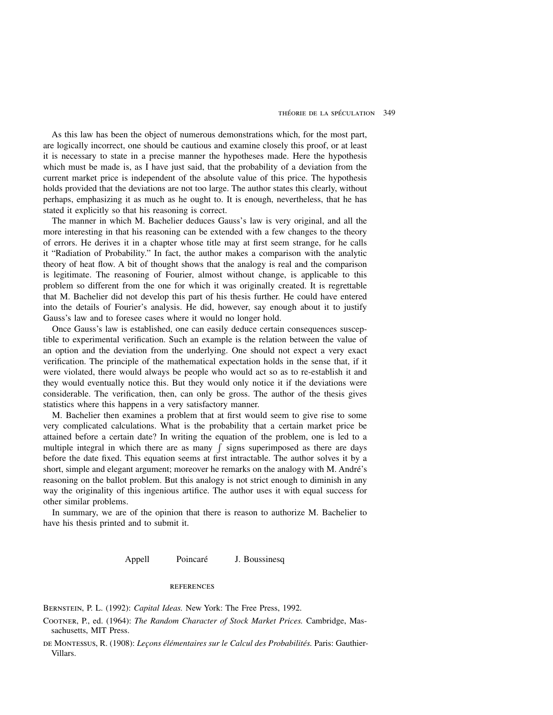As this law has been the object of numerous demonstrations which, for the most part, are logically incorrect, one should be cautious and examine closely this proof, or at least it is necessary to state in a precise manner the hypotheses made.Here the hypothesis which must be made is, as I have just said, that the probability of a deviation from the current market price is independent of the absolute value of this price. The hypothesis holds provided that the deviations are not too large. The author states this clearly, without perhaps, emphasizing it as much as he ought to.It is enough, nevertheless, that he has stated it explicitly so that his reasoning is correct.

The manner in which M.Bachelier deduces Gauss's law is very original, and all the more interesting in that his reasoning can be extended with a few changes to the theory of errors.He derives it in a chapter whose title may at first seem strange, for he calls it "Radiation of Probability." In fact, the author makes a comparison with the analytic theory of heat flow.A bit of thought shows that the analogy is real and the comparison is legitimate.The reasoning of Fourier, almost without change, is applicable to this problem so different from the one for which it was originally created.It is regrettable that M.Bachelier did not develop this part of his thesis further.He could have entered into the details of Fourier's analysis. He did, however, say enough about it to justify Gauss's law and to foresee cases where it would no longer hold.

Once Gauss's law is established, one can easily deduce certain consequences susceptible to experimental verification. Such an example is the relation between the value of an option and the deviation from the underlying.One should not expect a very exact verification.The principle of the mathematical expectation holds in the sense that, if it were violated, there would always be people who would act so as to re-establish it and they would eventually notice this. But they would only notice it if the deviations were considerable.The verification, then, can only be gross.The author of the thesis gives statistics where this happens in a very satisfactory manner.

M.Bachelier then examines a problem that at first would seem to give rise to some very complicated calculations.What is the probability that a certain market price be attained before a certain date? In writing the equation of the problem, one is led to a multiple integral in which there are as many  $\int$  signs superimposed as there are days before the date fixed. This equation seems at first intractable. The author solves it by a short, simple and elegant argument; moreover he remarks on the analogy with M. André's reasoning on the ballot problem. But this analogy is not strict enough to diminish in any way the originality of this ingenious artifice.The author uses it with equal success for other similar problems.

In summary, we are of the opinion that there is reason to authorize M.Bachelier to have his thesis printed and to submit it.

Appell Poincaré J. Boussinesq

#### **REFERENCES**

BERNSTEIN, P. L. (1992): Capital Ideas. New York: The Free Press, 1992.

COOTNER, P., ed. (1964): The Random Character of Stock Market Prices. Cambridge, Massachusetts, MIT Press.

de Montessus, R. (1908): Leçons élémentaires sur le Calcul des Probabilités. Paris: Gauthier-Villars.